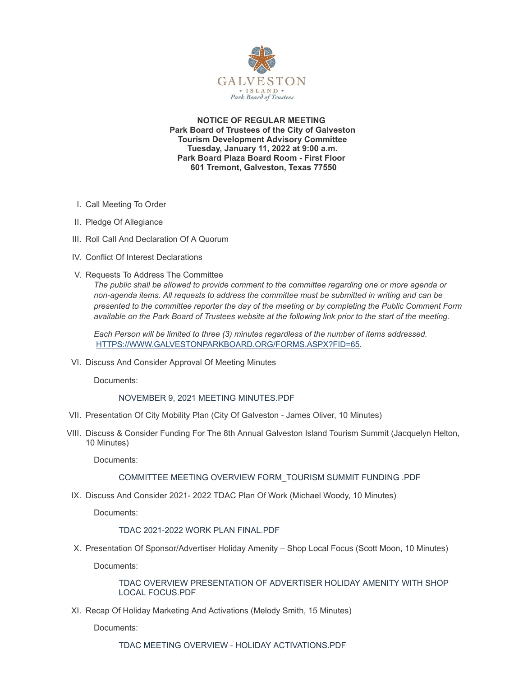

**NOTICE OF REGULAR MEETING Park Board of Trustees of the City of Galveston Tourism Development Advisory Committee Tuesday, January 11, 2022 at 9:00 a.m. Park Board Plaza Board Room - First Floor 601 Tremont, Galveston, Texas 77550**

- I. Call Meeting To Order
- II. Pledge Of Allegiance
- III. Roll Call And Declaration Of A Quorum
- IV. Conflict Of Interest Declarations
- V. Requests To Address The Committee

*The public shall be allowed to provide comment to the committee regarding one or more agenda or non-agenda items. All requests to address the committee must be submitted in writing and can be presented to the committee reporter the day of the meeting or by completing the Public Comment Form available on the Park Board of Trustees website at the following link prior to the start of the meeting.*

*Each Person will be limited to three (3) minutes regardless of the number of items addressed.* [HTTPS://WWW.GALVESTONPARKBOARD.ORG/FORMS.ASPX?FID=65](https://www.galvestonparkboard.org/forms.aspx?FID=65)*.*

VI. Discuss And Consider Approval Of Meeting Minutes

Documents:

## NOVEMBER 9, 2021 MEETING [MINUTES.PDF](https://www.galvestonparkboard.org/AgendaCenter/ViewFile/Item/7119?fileID=10583)

- VII. Presentation Of City Mobility Plan (City Of Galveston James Oliver, 10 Minutes)
- VIII. Discuss & Consider Funding For The 8th Annual Galveston Island Tourism Summit (Jacquelyn Helton, 10 Minutes)

Documents:

## COMMITTEE MEETING OVERVIEW [FORM\\_TOURISM](https://www.galvestonparkboard.org/AgendaCenter/ViewFile/Item/7129?fileID=10582) SUMMIT FUNDING .PDF

IX. Discuss And Consider 2021- 2022 TDAC Plan Of Work (Michael Woody, 10 Minutes)

Documents:

## TDAC 2021-2022 WORK PLAN [FINAL.PDF](https://www.galvestonparkboard.org/AgendaCenter/ViewFile/Item/7125?fileID=10580)

X. Presentation Of Sponsor/Advertiser Holiday Amenity – Shop Local Focus (Scott Moon, 10 Minutes)

Documents:

TDAC OVERVIEW [PRESENTATION](https://www.galvestonparkboard.org/AgendaCenter/ViewFile/Item/7126?fileID=10584) OF ADVERTISER HOLIDAY AMENITY WITH SHOP LOCAL FOCUS.PDF

XI. Recap Of Holiday Marketing And Activations (Melody Smith, 15 Minutes)

Documents: